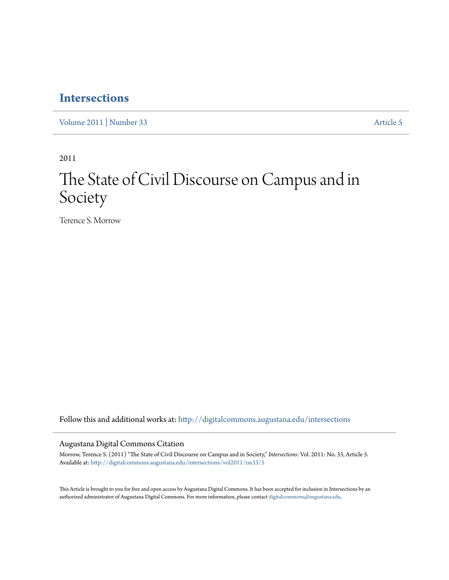# **[Intersections](http://digitalcommons.augustana.edu/intersections?utm_source=digitalcommons.augustana.edu%2Fintersections%2Fvol2011%2Fiss33%2F5&utm_medium=PDF&utm_campaign=PDFCoverPages)**

[Volume 2011](http://digitalcommons.augustana.edu/intersections/vol2011?utm_source=digitalcommons.augustana.edu%2Fintersections%2Fvol2011%2Fiss33%2F5&utm_medium=PDF&utm_campaign=PDFCoverPages) | [Number 33](http://digitalcommons.augustana.edu/intersections/vol2011/iss33?utm_source=digitalcommons.augustana.edu%2Fintersections%2Fvol2011%2Fiss33%2F5&utm_medium=PDF&utm_campaign=PDFCoverPages) [Article 5](http://digitalcommons.augustana.edu/intersections/vol2011/iss33/5?utm_source=digitalcommons.augustana.edu%2Fintersections%2Fvol2011%2Fiss33%2F5&utm_medium=PDF&utm_campaign=PDFCoverPages)

2011

# The State of Civil Discourse on Campus and in Society

Terence S. Morrow

Follow this and additional works at: [http://digitalcommons.augustana.edu/intersections](http://digitalcommons.augustana.edu/intersections?utm_source=digitalcommons.augustana.edu%2Fintersections%2Fvol2011%2Fiss33%2F5&utm_medium=PDF&utm_campaign=PDFCoverPages)

Augustana Digital Commons Citation

Morrow, Terence S. (2011) "The State of Civil Discourse on Campus and in Society," *Intersections*: Vol. 2011: No. 33, Article 5. Available at: [http://digitalcommons.augustana.edu/intersections/vol2011/iss33/5](http://digitalcommons.augustana.edu/intersections/vol2011/iss33/5?utm_source=digitalcommons.augustana.edu%2Fintersections%2Fvol2011%2Fiss33%2F5&utm_medium=PDF&utm_campaign=PDFCoverPages)

This Article is brought to you for free and open access by Augustana Digital Commons. It has been accepted for inclusion in Intersections by an authorized administrator of Augustana Digital Commons. For more information, please contact [digitalcommons@augustana.edu.](mailto:digitalcommons@augustana.edu)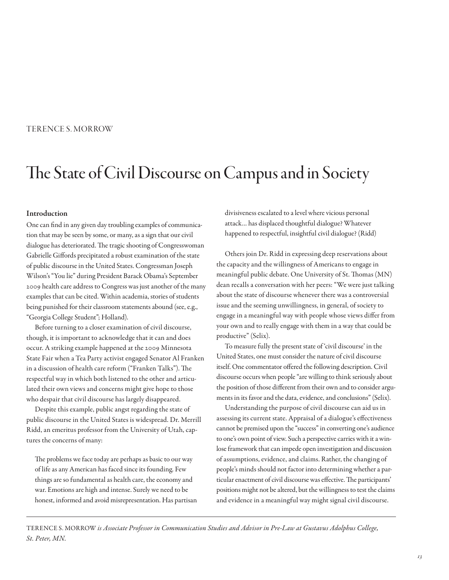## TERENCE S. MORROW

# The State of Civil Discourse on Campus and in Society

#### Introduction

One can fnd in any given day troubling examples of communication that may be seen by some, or many, as a sign that our civil dialogue has deteriorated. The tragic shooting of Congresswoman Gabrielle Gifords precipitated a robust examination of the state of public discourse in the United States. Congressman Joseph Wilson's "You lie" during President Barack Obama's September 2009 health care address to Congress was just another of the many examples that can be cited. Within academia, stories of students being punished for their classroom statements abound (see, e.g., "Georgia College Student"; Holland).

Before turning to a closer examination of civil discourse, though, it is important to acknowledge that it can and does occur. A striking example happened at the 2009 Minnesota State Fair when a Tea Party activist engaged Senator Al Franken in a discussion of health care reform ("Franken Talks"). The respectful way in which both listened to the other and articulated their own views and concerns might give hope to those who despair that civil discourse has largely disappeared.

Despite this example, public angst regarding the state of public discourse in the United States is widespread. Dr. Merrill Ridd, an emeritus professor from the University of Utah, captures the concerns of many:

The problems we face today are perhaps as basic to our way of life as any American has faced since its founding. Few things are so fundamental as health care, the economy and war. Emotions are high and intense. Surely we need to be honest, informed and avoid misrepresentation. Has partisan divisiveness escalated to a level where vicious personal attack… has displaced thoughtful dialogue? Whatever happened to respectful, insightful civil dialogue? (Ridd)

Others join Dr. Ridd in expressing deep reservations about the capacity and the willingness of Americans to engage in meaningful public debate. One University of St. Thomas (MN) dean recalls a conversation with her peers: "We were just talking about the state of discourse whenever there was a controversial issue and the seeming unwillingness, in general, of society to engage in a meaningful way with people whose views difer from your own and to really engage with them in a way that could be productive" (Selix).

To measure fully the present state of 'civil discourse' in the United States, one must consider the nature of civil discourse itself. One commentator offered the following description. Civil discourse occurs when people "are willing to think seriously about the position of those diferent from their own and to consider arguments in its favor and the data, evidence, and conclusions" (Selix).

Understanding the purpose of civil discourse can aid us in assessing its current state. Appraisal of a dialogue's efectiveness cannot be premised upon the "success" in converting one's audience to one's own point of view. Such a perspective carries with it a winlose framework that can impede open investigation and discussion of assumptions, evidence, and claims. Rather, the changing of people's minds should not factor into determining whether a particular enactment of civil discourse was effective. The participants' positions might not be altered, but the willingness to test the claims and evidence in a meaningful way might signal civil discourse.

TERENCE S. MORROW is Associate Professor in Communication Studies and Advisor in Pre-Law at Gustavus Adolphus College, St. Peter, MN.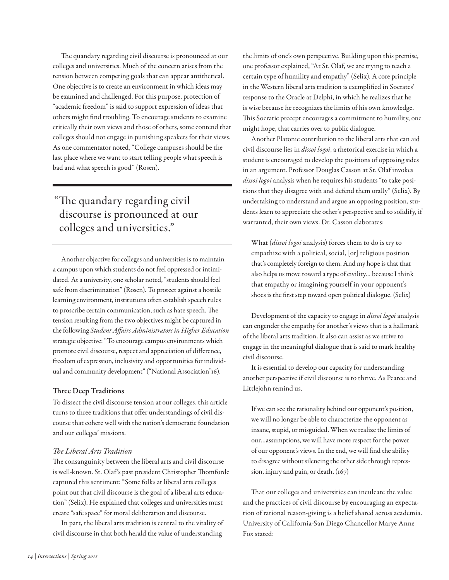The quandary regarding civil discourse is pronounced at our colleges and universities. Much of the concern arises from the tension between competing goals that can appear antithetical. One objective is to create an environment in which ideas may be examined and challenged. For this purpose, protection of "academic freedom" is said to support expression of ideas that others might fnd troubling. To encourage students to examine critically their own views and those of others, some contend that colleges should not engage in punishing speakers for their views. As one commentator noted, "College campuses should be the last place where we want to start telling people what speech is bad and what speech is good" (Rosen).

# "The quandary regarding civil discourse is pronounced at our colleges and universities."

Another objective for colleges and universities is to maintain a campus upon which students do not feel oppressed or intimidated. At a university, one scholar noted, "students should feel safe from discrimination" (Rosen). To protect against a hostile learning environment, institutions ofen establish speech rules to proscribe certain communication, such as hate speech. The tension resulting from the two objectives might be captured in the following Student Affairs Administrators in Higher Education strategic objective: "To encourage campus environments which promote civil discourse, respect and appreciation of diference, freedom of expression, inclusivity and opportunities for individual and community development" ("National Association"16).

## Three Deep Traditions

To dissect the civil discourse tension at our colleges, this article turns to three traditions that ofer understandings of civil discourse that cohere well with the nation's democratic foundation and our colleges' missions.

## The Liberal Arts Tradition

The consanguinity between the liberal arts and civil discourse is well-known. St. Olaf's past president Christopher Thomforde captured this sentiment: "Some folks at liberal arts colleges point out that civil discourse is the goal of a liberal arts education" (Selix). He explained that colleges and universities must create "safe space" for moral deliberation and discourse.

In part, the liberal arts tradition is central to the vitality of civil discourse in that both herald the value of understanding

the limits of one's own perspective. Building upon this premise, one professor explained, "At St. Olaf, we are trying to teach a certain type of humility and empathy" (Selix). A core principle in the Western liberal arts tradition is exemplifed in Socrates' response to the Oracle at Delphi, in which he realizes that he is wise because he recognizes the limits of his own knowledge. This Socratic precept encourages a commitment to humility, one might hope, that carries over to public dialogue.

Another Platonic contribution to the liberal arts that can aid civil discourse lies in dissoi logoi, a rhetorical exercise in which a student is encouraged to develop the positions of opposing sides in an argument. Professor Douglas Casson at St. Olaf invokes dissoi logoi analysis when he requires his students "to take positions that they disagree with and defend them orally" (Selix). By undertaking to understand and argue an opposing position, students learn to appreciate the other's perspective and to solidify, if warranted, their own views. Dr. Casson elaborates:

What *(dissoi logoi* analysis) forces them to do is try to empathize with a political, social, [or] religious position that's completely foreign to them. And my hope is that that also helps us move toward a type of civility… because I think that empathy or imagining yourself in your opponent's shoes is the frst step toward open political dialogue. (Selix)

Development of the capacity to engage in *dissoi logoi* analysis can engender the empathy for another's views that is a hallmark of the liberal arts tradition. It also can assist as we strive to engage in the meaningful dialogue that is said to mark healthy civil discourse.

It is essential to develop our capacity for understanding another perspective if civil discourse is to thrive. As Pearce and Littlejohn remind us,

If we can see the rationality behind our opponent's position, we will no longer be able to characterize the opponent as insane, stupid, or misguided. When we realize the limits of our…assumptions, we will have more respect for the power of our opponent's views. In the end, we will fnd the ability to disagree without silencing the other side through repression, injury and pain, or death.  $(167)$ 

That our colleges and universities can inculcate the value and the practices of civil discourse by encouraging an expectation of rational reason-giving is a belief shared across academia. University of California-San Diego Chancellor Marye Anne Fox stated: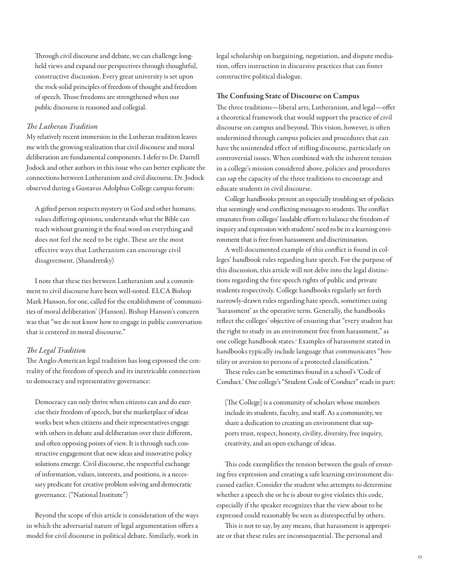Through civil discourse and debate, we can challenge longheld views and expand our perspectives through thoughtful, constructive discussion. Every great university is set upon the rock-solid principles of freedom of thought and freedom of speech. Those freedoms are strengthened when our public discourse is reasoned and collegial.

#### The Lutheran Tradition

My relatively recent immersion in the Lutheran tradition leaves me with the growing realization that civil discourse and moral deliberation are fundamental components. I defer to Dr. Darrell Jodock and other authors in this issue who can better explicate the connections between Lutheranism and civil discourse. Dr. Jodock observed during a Gustavus Adolphus College campus forum:

A gifed person respects mystery in God and other humans, values difering opinions, understands what the Bible can teach without granting it the fnal word on everything and does not feel the need to be right. These are the most efective ways that Lutheranism can encourage civil disagreement. (Shandretsky)

I note that these ties between Lutheranism and a commitment to civil discourse have been well-noted. ELCA Bishop Mark Hanson, for one, called for the establishment of 'communities of moral deliberation' (Hanson). Bishop Hanson's concern was that "we do not know how to engage in public conversation that is centered in moral discourse."

#### The Legal Tradition

The Anglo-American legal tradition has long espoused the centrality of the freedom of speech and its inextricable connection to democracy and representative governance:

Democracy can only thrive when citizens can and do exercise their freedom of speech, but the marketplace of ideas works best when citizens and their representatives engage with others in debate and deliberation over their diferent, and often opposing points of view. It is through such constructive engagement that new ideas and innovative policy solutions emerge. Civil discourse, the respectful exchange of information, values, interests, and positions, is a necessary predicate for creative problem solving and democratic governance. ("National Institute")

Beyond the scope of this article is consideration of the ways in which the adversarial nature of legal argumentation ofers a model for civil discourse in political debate. Similarly, work in

legal scholarship on bargaining, negotiation, and dispute mediation, offers instruction in discursive practices that can foster constructive political dialogue.

#### The Confusing State of Discourse on Campus

The three traditions—liberal arts, Lutheranism, and legal—offer a theoretical framework that would support the practice of civil discourse on campus and beyond. This vision, however, is often undermined through campus policies and procedures that can have the unintended efect of stifing discourse, particularly on controversial issues. When combined with the inherent tension in a college's mission considered above, policies and procedures can sap the capacity of the three traditions to encourage and educate students in civil discourse.

College handbooks present an especially troubling set of policies that seemingly send conflicting messages to students. The conflict emanates from colleges' laudable eforts to balance the freedom of inquiry and expression with students' need to be in a learning environment that is free from harassment and discrimination.

A well-documented example of this confict is found in colleges' handbook rules regarding hate speech. For the purpose of this discussion, this article will not delve into the legal distinctions regarding the free speech rights of public and private students respectively. College handbooks regularly set forth narrowly-drawn rules regarding hate speech, sometimes using 'harassment' as the operative term. Generally, the handbooks refect the colleges' objective of ensuring that "every student has the right to study in an environment free from harassment," as one college handbook states.<sup>1</sup> Examples of harassment stated in handbooks typically include language that communicates "hostility or aversion to persons of a protected classifcation."

These rules can be sometimes found in a school's 'Code of Conduct.' One college's "Student Code of Conduct" reads in part:

[The College] is a community of scholars whose members include its students, faculty, and staf. As a community, we share a dedication to creating an environment that supports trust, respect, honesty, civility, diversity, free inquiry, creativity, and an open exchange of ideas.

This code exemplifies the tension between the goals of ensuring free expression and creating a safe learning environment discussed earlier. Consider the student who attempts to determine whether a speech she or he is about to give violates this code, especially if the speaker recognizes that the view about to be expressed could reasonably be seen as disrespectful by others.

This is not to say, by any means, that harassment is appropriate or that these rules are inconsequential. The personal and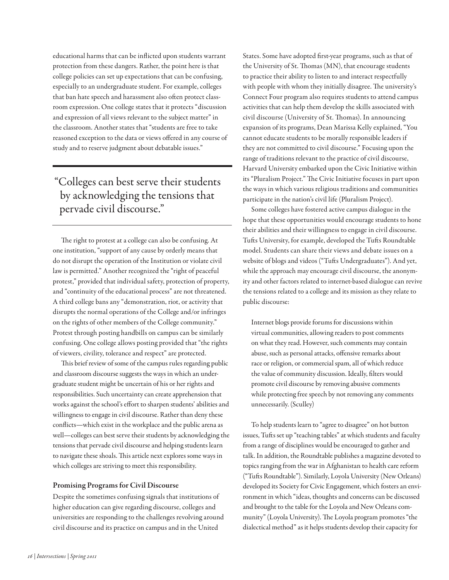educational harms that can be inficted upon students warrant protection from these dangers. Rather, the point here is that college policies can set up expectations that can be confusing, especially to an undergraduate student. For example, colleges that ban hate speech and harassment also often protect classroom expression. One college states that it protects "discussion and expression of all views relevant to the subject matter" in the classroom. Another states that "students are free to take reasoned exception to the data or views ofered in any course of study and to reserve judgment about debatable issues."

"Colleges can best serve their students by acknowledging the tensions that pervade civil discourse."

The right to protest at a college can also be confusing. At one institution, "support of any cause by orderly means that do not disrupt the operation of the Institution or violate civil law is permitted." Another recognized the "right of peaceful protest," provided that individual safety, protection of property, and "continuity of the educational process" are not threatened. A third college bans any "demonstration, riot, or activity that disrupts the normal operations of the College and/or infringes on the rights of other members of the College community." Protest through posting handbills on campus can be similarly confusing. One college allows posting provided that "the rights of viewers, civility, tolerance and respect" are protected.

This brief review of some of the campus rules regarding public and classroom discourse suggests the ways in which an undergraduate student might be uncertain of his or her rights and responsibilities. Such uncertainty can create apprehension that works against the school's efort to sharpen students' abilities and willingness to engage in civil discourse. Rather than deny these conficts—which exist in the workplace and the public arena as well—colleges can best serve their students by acknowledging the tensions that pervade civil discourse and helping students learn to navigate these shoals. This article next explores some ways in which colleges are striving to meet this responsibility.

## Promising Programs for Civil Discourse

Despite the sometimes confusing signals that institutions of higher education can give regarding discourse, colleges and universities are responding to the challenges revolving around civil discourse and its practice on campus and in the United

States. Some have adopted frst-year programs, such as that of the University of St. Thomas (MN), that encourage students to practice their ability to listen to and interact respectfully with people with whom they initially disagree. The university's Connect Four program also requires students to attend campus activities that can help them develop the skills associated with civil discourse (University of St. Thomas). In announcing expansion of its programs, Dean Marissa Kelly explained, "You cannot educate students to be morally responsible leaders if they are not committed to civil discourse." Focusing upon the range of traditions relevant to the practice of civil discourse, Harvard University embarked upon the Civic Initiative within its "Pluralism Project." The Civic Initiative focuses in part upon the ways in which various religious traditions and communities participate in the nation's civil life (Pluralism Project).

Some colleges have fostered active campus dialogue in the hope that these opportunities would encourage students to hone their abilities and their willingness to engage in civil discourse. Tufs University, for example, developed the Tufs Roundtable model. Students can share their views and debate issues on a website of blogs and videos ("Tufs Undergraduates"). And yet, while the approach may encourage civil discourse, the anonymity and other factors related to internet-based dialogue can revive the tensions related to a college and its mission as they relate to public discourse:

Internet blogs provide forums for discussions within virtual communities, allowing readers to post comments on what they read. However, such comments may contain abuse, such as personal attacks, offensive remarks about race or religion, or commercial spam, all of which reduce the value of community discussion. Ideally, flters would promote civil discourse by removing abusive comments while protecting free speech by not removing any comments unnecessarily. (Sculley)

To help students learn to "agree to disagree" on hot button issues, Tufts set up "teaching tables" at which students and faculty from a range of disciplines would be encouraged to gather and talk. In addition, the Roundtable publishes a magazine devoted to topics ranging from the war in Afghanistan to health care reform ("Tufs Roundtable"). Similarly, Loyola University (New Orleans) developed its Society for Civic Engagement, which fosters an environment in which "ideas, thoughts and concerns can be discussed and brought to the table for the Loyola and New Orleans community" (Loyola University). The Loyola program promotes "the dialectical method" as it helps students develop their capacity for